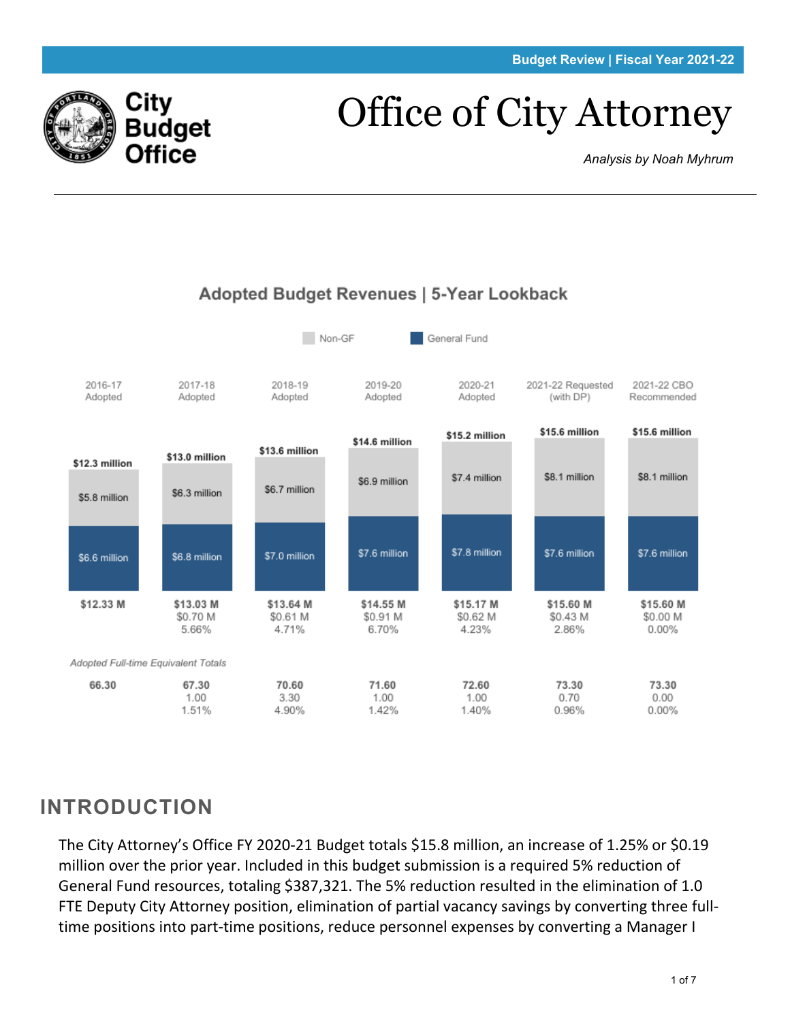

# Office of City Attorney

*Analysis by Noah Myhrum*



## **INTRODUCTION**

The City Attorney's Office FY 2020-21 Budget totals \$15.8 million, an increase of 1.25% or \$0.19 million over the prior year. Included in this budget submission is a required 5% reduction of General Fund resources, totaling \$387,321. The 5% reduction resulted in the elimination of 1.0 FTE Deputy City Attorney position, elimination of partial vacancy savings by converting three fulltime positions into part-time positions, reduce personnel expenses by converting a Manager I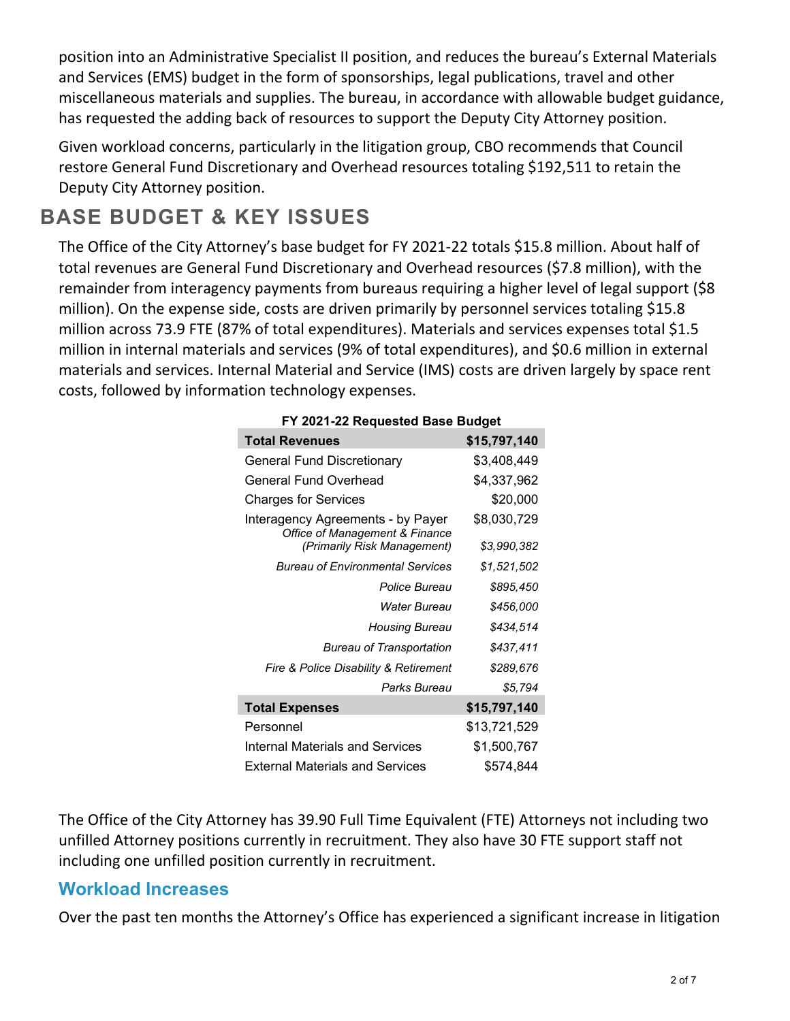position into an Administrative Specialist II position, and reduces the bureau's External Materials and Services (EMS) budget in the form of sponsorships, legal publications, travel and other miscellaneous materials and supplies. The bureau, in accordance with allowable budget guidance, has requested the adding back of resources to support the Deputy City Attorney position.

Given workload concerns, particularly in the litigation group, CBO recommends that Council restore General Fund Discretionary and Overhead resources totaling \$192,511 to retain the Deputy City Attorney position.

# **BASE BUDGET & KEY ISSUES**

The Office of the City Attorney's base budget for FY 2021-22 totals \$15.8 million. About half of total revenues are General Fund Discretionary and Overhead resources (\$7.8 million), with the remainder from interagency payments from bureaus requiring a higher level of legal support (\$8 million). On the expense side, costs are driven primarily by personnel services totaling \$15.8 million across 73.9 FTE (87% of total expenditures). Materials and services expenses total \$1.5 million in internal materials and services (9% of total expenditures), and \$0.6 million in external materials and services. Internal Material and Service (IMS) costs are driven largely by space rent costs, followed by information technology expenses.

| FY 2021-22 Requested Base Budget                                    |              |  |  |  |  |  |
|---------------------------------------------------------------------|--------------|--|--|--|--|--|
| <b>Total Revenues</b>                                               | \$15,797,140 |  |  |  |  |  |
| <b>General Fund Discretionary</b>                                   | \$3,408,449  |  |  |  |  |  |
| General Fund Overhead                                               | \$4,337,962  |  |  |  |  |  |
| <b>Charges for Services</b>                                         | \$20,000     |  |  |  |  |  |
| Interagency Agreements - by Payer<br>Office of Management & Finance | \$8,030,729  |  |  |  |  |  |
| (Primarily Risk Management)                                         | \$3,990,382  |  |  |  |  |  |
| <b>Bureau of Environmental Services</b>                             | \$1,521,502  |  |  |  |  |  |
| <b>Police Bureau</b>                                                | \$895,450    |  |  |  |  |  |
| Water Bureau                                                        | \$456,000    |  |  |  |  |  |
| Housing Bureau                                                      | \$434,514    |  |  |  |  |  |
| <b>Bureau of Transportation</b>                                     | \$437.411    |  |  |  |  |  |
| Fire & Police Disability & Retirement                               | \$289,676    |  |  |  |  |  |
| Parks Bureau                                                        | \$5,794      |  |  |  |  |  |
| <b>Total Expenses</b>                                               | \$15,797,140 |  |  |  |  |  |
| Personnel                                                           | \$13,721,529 |  |  |  |  |  |
| Internal Materials and Services                                     | \$1,500,767  |  |  |  |  |  |
| External Materials and Services                                     | \$574.844    |  |  |  |  |  |

#### The Office of the City Attorney has 39.90 Full Time Equivalent (FTE) Attorneys not including two unfilled Attorney positions currently in recruitment. They also have 30 FTE support staff not including one unfilled position currently in recruitment.

#### <span id="page-1-0"></span>**Workload Increases**

Over the past ten months the Attorney's Office has experienced a significant increase in litigation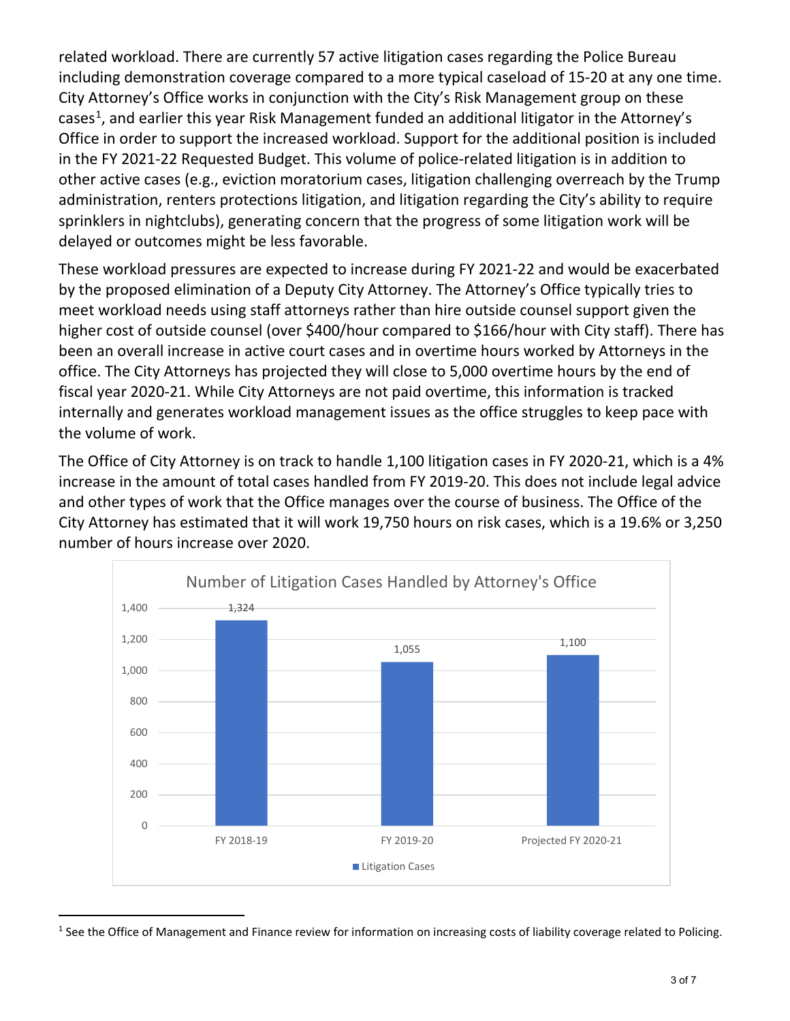related workload. There are currently 57 active litigation cases regarding the Police Bureau including demonstration coverage compared to a more typical caseload of 15-20 at any one time. City Attorney's Office works in conjunction with the City's Risk Management group on these cases<sup>[1](#page-2-0)</sup>, and earlier this year Risk Management funded an additional litigator in the Attorney's Office in order to support the increased workload. Support for the additional position is included in the FY 2021-22 Requested Budget. This volume of police-related litigation is in addition to other active cases (e.g., eviction moratorium cases, litigation challenging overreach by the Trump administration, renters protections litigation, and litigation regarding the City's ability to require sprinklers in nightclubs), generating concern that the progress of some litigation work will be delayed or outcomes might be less favorable.

These workload pressures are expected to increase during FY 2021-22 and would be exacerbated by the proposed elimination of a Deputy City Attorney. The Attorney's Office typically tries to meet workload needs using staff attorneys rather than hire outside counsel support given the higher cost of outside counsel (over \$400/hour compared to \$166/hour with City staff). There has been an overall increase in active court cases and in overtime hours worked by Attorneys in the office. The City Attorneys has projected they will close to 5,000 overtime hours by the end of fiscal year 2020-21. While City Attorneys are not paid overtime, this information is tracked internally and generates workload management issues as the office struggles to keep pace with the volume of work.

The Office of City Attorney is on track to handle 1,100 litigation cases in FY 2020-21, which is a 4% increase in the amount of total cases handled from FY 2019-20. This does not include legal advice and other types of work that the Office manages over the course of business. The Office of the City Attorney has estimated that it will work 19,750 hours on risk cases, which is a 19.6% or 3,250 number of hours increase over 2020.



<span id="page-2-0"></span> $1$  See the Office of Management and Finance review for information on increasing costs of liability coverage related to Policing.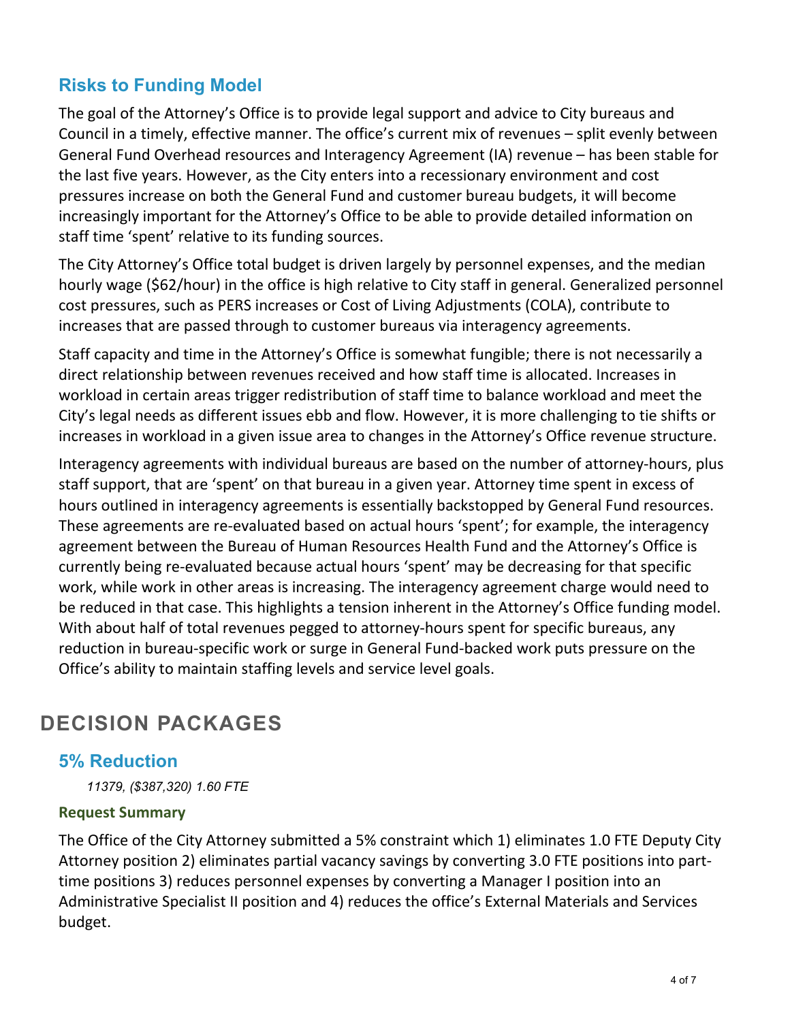### **Risks to Funding Model**

The goal of the Attorney's Office is to provide legal support and advice to City bureaus and Council in a timely, effective manner. The office's current mix of revenues – split evenly between General Fund Overhead resources and Interagency Agreement (IA) revenue – has been stable for the last five years. However, as the City enters into a recessionary environment and cost pressures increase on both the General Fund and customer bureau budgets, it will become increasingly important for the Attorney's Office to be able to provide detailed information on staff time 'spent' relative to its funding sources.

The City Attorney's Office total budget is driven largely by personnel expenses, and the median hourly wage (\$62/hour) in the office is high relative to City staff in general. Generalized personnel cost pressures, such as PERS increases or Cost of Living Adjustments (COLA), contribute to increases that are passed through to customer bureaus via interagency agreements.

Staff capacity and time in the Attorney's Office is somewhat fungible; there is not necessarily a direct relationship between revenues received and how staff time is allocated. Increases in workload in certain areas trigger redistribution of staff time to balance workload and meet the City's legal needs as different issues ebb and flow. However, it is more challenging to tie shifts or increases in workload in a given issue area to changes in the Attorney's Office revenue structure.

Interagency agreements with individual bureaus are based on the number of attorney-hours, plus staff support, that are 'spent' on that bureau in a given year. Attorney time spent in excess of hours outlined in interagency agreements is essentially backstopped by General Fund resources. These agreements are re-evaluated based on actual hours 'spent'; for example, the interagency agreement between the Bureau of Human Resources Health Fund and the Attorney's Office is currently being re-evaluated because actual hours 'spent' may be decreasing for that specific work, while work in other areas is increasing. The interagency agreement charge would need to be reduced in that case. This highlights a tension inherent in the Attorney's Office funding model. With about half of total revenues pegged to attorney-hours spent for specific bureaus, any reduction in bureau-specific work or surge in General Fund-backed work puts pressure on the Office's ability to maintain staffing levels and service level goals.

## **DECISION PACKAGES**

#### **5% Reduction**

*11379, (\$387,320) 1.60 FTE*

#### **Request Summary**

The Office of the City Attorney submitted a 5% constraint which 1) eliminates 1.0 FTE Deputy City Attorney position 2) eliminates partial vacancy savings by converting 3.0 FTE positions into parttime positions 3) reduces personnel expenses by converting a Manager I position into an Administrative Specialist II position and 4) reduces the office's External Materials and Services budget.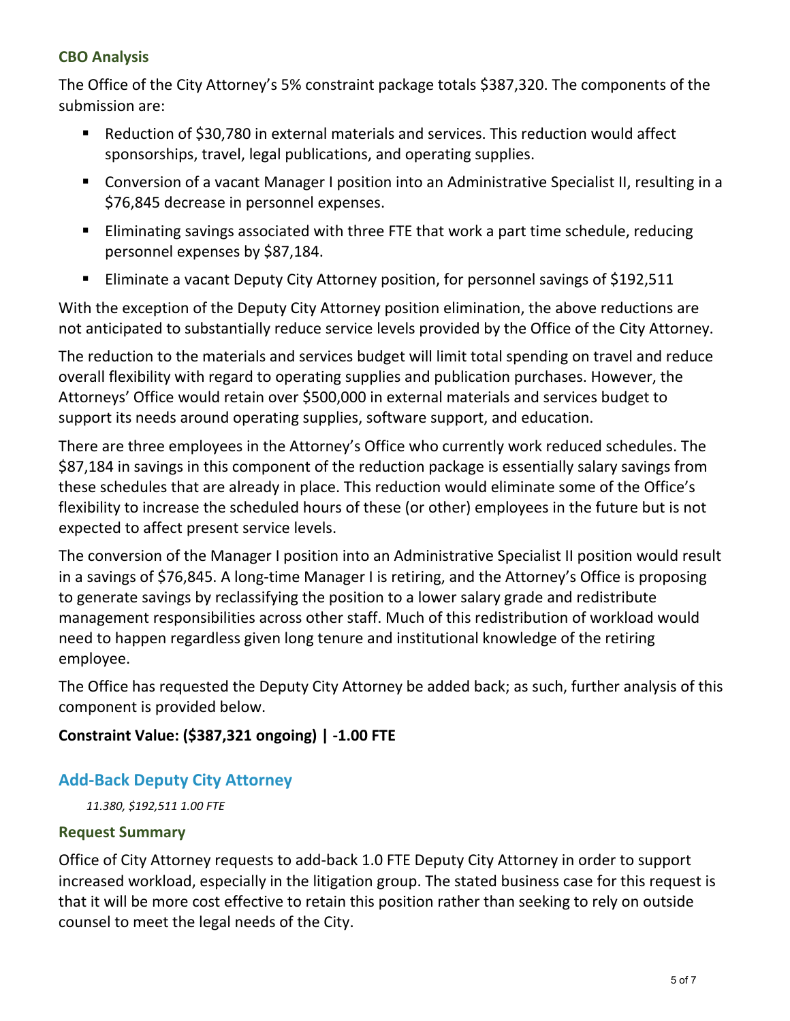#### **CBO Analysis**

The Office of the City Attorney's 5% constraint package totals \$387,320. The components of the submission are:

- Reduction of \$30,780 in external materials and services. This reduction would affect sponsorships, travel, legal publications, and operating supplies.
- Conversion of a vacant Manager I position into an Administrative Specialist II, resulting in a \$76,845 decrease in personnel expenses.
- **Eliminating savings associated with three FTE that work a part time schedule, reducing** personnel expenses by \$87,184.
- **Eliminate a vacant Deputy City Attorney position, for personnel savings of \$192,511**

With the exception of the Deputy City Attorney position elimination, the above reductions are not anticipated to substantially reduce service levels provided by the Office of the City Attorney.

The reduction to the materials and services budget will limit total spending on travel and reduce overall flexibility with regard to operating supplies and publication purchases. However, the Attorneys' Office would retain over \$500,000 in external materials and services budget to support its needs around operating supplies, software support, and education.

There are three employees in the Attorney's Office who currently work reduced schedules. The \$87,184 in savings in this component of the reduction package is essentially salary savings from these schedules that are already in place. This reduction would eliminate some of the Office's flexibility to increase the scheduled hours of these (or other) employees in the future but is not expected to affect present service levels.

The conversion of the Manager I position into an Administrative Specialist II position would result in a savings of \$76,845. A long-time Manager I is retiring, and the Attorney's Office is proposing to generate savings by reclassifying the position to a lower salary grade and redistribute management responsibilities across other staff. Much of this redistribution of workload would need to happen regardless given long tenure and institutional knowledge of the retiring employee.

The Office has requested the Deputy City Attorney be added back; as such, further analysis of this component is provided below.

#### **Constraint Value: (\$387,321 ongoing) | -1.00 FTE**

#### **Add-Back Deputy City Attorney**

*11.380, \$192,511 1.00 FTE*

#### **Request Summary**

Office of City Attorney requests to add-back 1.0 FTE Deputy City Attorney in order to support increased workload, especially in the litigation group. The stated business case for this request is that it will be more cost effective to retain this position rather than seeking to rely on outside counsel to meet the legal needs of the City.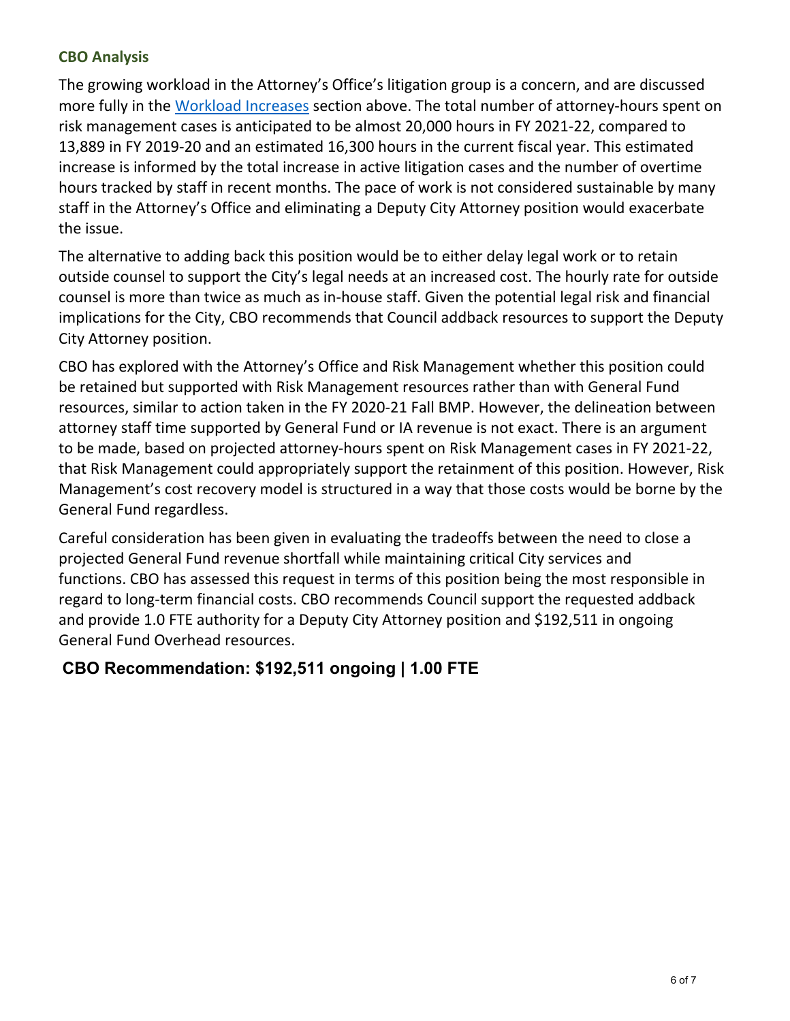#### **CBO Analysis**

The growing workload in the Attorney's Office's litigation group is a concern, and are discussed more fully in the [Workload Increases](#page-1-0) section above. The total number of attorney-hours spent on risk management cases is anticipated to be almost 20,000 hours in FY 2021-22, compared to 13,889 in FY 2019-20 and an estimated 16,300 hours in the current fiscal year. This estimated increase is informed by the total increase in active litigation cases and the number of overtime hours tracked by staff in recent months. The pace of work is not considered sustainable by many staff in the Attorney's Office and eliminating a Deputy City Attorney position would exacerbate the issue.

The alternative to adding back this position would be to either delay legal work or to retain outside counsel to support the City's legal needs at an increased cost. The hourly rate for outside counsel is more than twice as much as in-house staff. Given the potential legal risk and financial implications for the City, CBO recommends that Council addback resources to support the Deputy City Attorney position.

CBO has explored with the Attorney's Office and Risk Management whether this position could be retained but supported with Risk Management resources rather than with General Fund resources, similar to action taken in the FY 2020-21 Fall BMP. However, the delineation between attorney staff time supported by General Fund or IA revenue is not exact. There is an argument to be made, based on projected attorney-hours spent on Risk Management cases in FY 2021-22, that Risk Management could appropriately support the retainment of this position. However, Risk Management's cost recovery model is structured in a way that those costs would be borne by the General Fund regardless.

Careful consideration has been given in evaluating the tradeoffs between the need to close a projected General Fund revenue shortfall while maintaining critical City services and functions. CBO has assessed this request in terms of this position being the most responsible in regard to long-term financial costs. CBO recommends Council support the requested addback and provide 1.0 FTE authority for a Deputy City Attorney position and \$192,511 in ongoing General Fund Overhead resources.

#### **CBO Recommendation: \$192,511 ongoing | 1.00 FTE**